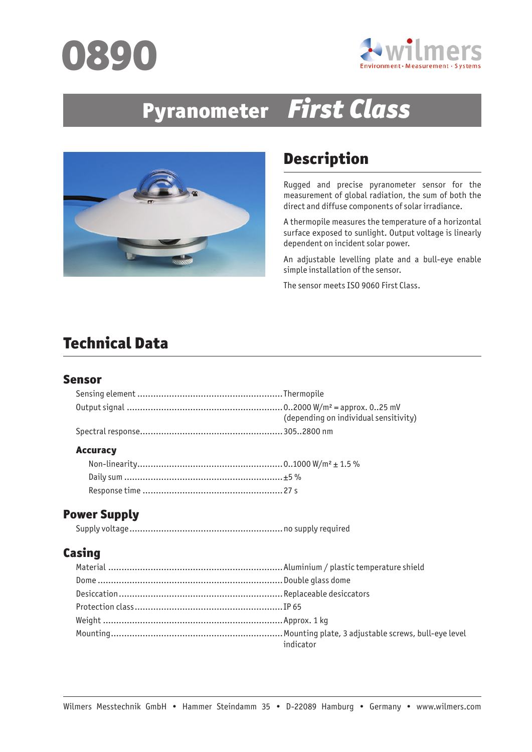



# Pyranometer First Class



# Description

Rugged and precise pyranometer sensor for the measurement of global radiation, the sum of both the direct and diffuse components of solar irradiance.

A thermopile measures the temperature of a horizontal surface exposed to sunlight. Output voltage is linearly dependent on incident solar power.

An adjustable levelling plate and a bull-eye enable simple installation of the sensor.

The sensor meets ISO 9060 First Class.

# Technical Data

#### Sensor

| (depending on individual sensitivity) |
|---------------------------------------|
|                                       |
|                                       |

#### **Accuracy**

### Power Supply

Supply voltage..........................................................no supply required

## Casing

| indicator |
|-----------|
|           |